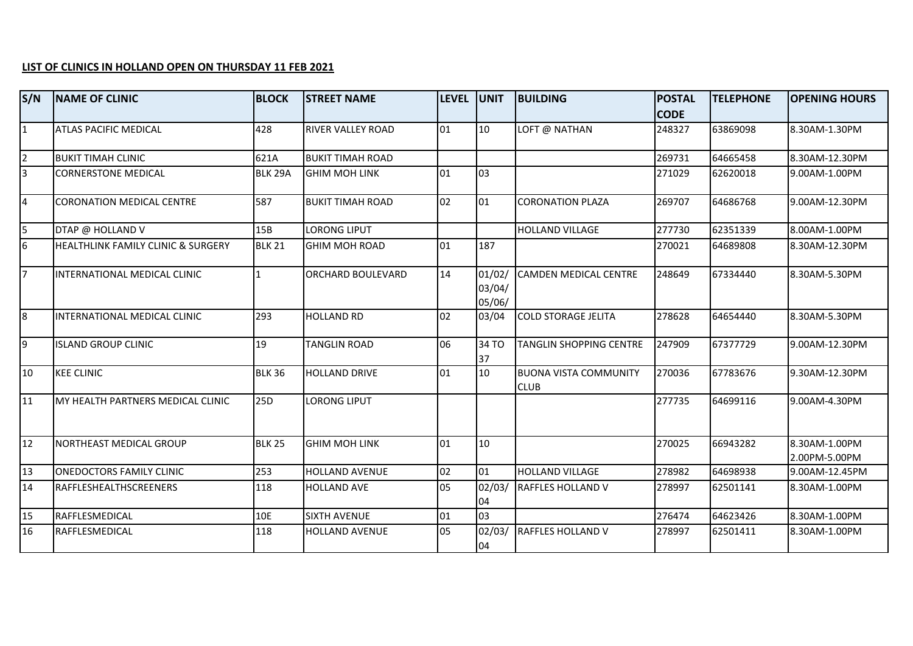## **LIST OF CLINICS IN HOLLAND OPEN ON THURSDAY 11 FEB 2021**

| S/N       | <b>NAME OF CLINIC</b>                         | <b>BLOCK</b>  | <b>STREET NAME</b>       | <b>LEVEL</b> | <b>UNIT</b>                | <b>BUILDING</b>                             | <b>POSTAL</b><br><b>CODE</b> | <b>TELEPHONE</b> | <b>OPENING HOURS</b>           |
|-----------|-----------------------------------------------|---------------|--------------------------|--------------|----------------------------|---------------------------------------------|------------------------------|------------------|--------------------------------|
| $\vert$ 1 | <b>ATLAS PACIFIC MEDICAL</b>                  | 428           | <b>RIVER VALLEY ROAD</b> | 01           | 10                         | LOFT @ NATHAN                               | 248327                       | 63869098         | 8.30AM-1.30PM                  |
| 12        | <b>BUKIT TIMAH CLINIC</b>                     | 621A          | <b>BUKIT TIMAH ROAD</b>  |              |                            |                                             | 269731                       | 64665458         | 8.30AM-12.30PM                 |
| l3        | <b>CORNERSTONE MEDICAL</b>                    | BLK 29A       | <b>GHIM MOH LINK</b>     | 01           | 03                         |                                             | 271029                       | 62620018         | 9.00AM-1.00PM                  |
| 4         | CORONATION MEDICAL CENTRE                     | 587           | <b>BUKIT TIMAH ROAD</b>  | 02           | 01                         | <b>CORONATION PLAZA</b>                     | 269707                       | 64686768         | 9.00AM-12.30PM                 |
| 5         | DTAP @ HOLLAND V                              | 15B           | <b>LORONG LIPUT</b>      |              |                            | <b>HOLLAND VILLAGE</b>                      | 277730                       | 62351339         | 8.00AM-1.00PM                  |
| 6         | <b>HEALTHLINK FAMILY CLINIC &amp; SURGERY</b> | <b>BLK 21</b> | <b>GHIM MOH ROAD</b>     | 01           | 187                        |                                             | 270021                       | 64689808         | 8.30AM-12.30PM                 |
| 17        | INTERNATIONAL MEDICAL CLINIC                  |               | ORCHARD BOULEVARD        | 14           | 01/02/<br>03/04/<br>05/06/ | <b>CAMDEN MEDICAL CENTRE</b>                | 248649                       | 67334440         | 8.30AM-5.30PM                  |
| 8         | INTERNATIONAL MEDICAL CLINIC                  | 293           | <b>HOLLAND RD</b>        | 02           | 03/04                      | <b>COLD STORAGE JELITA</b>                  | 278628                       | 64654440         | 8.30AM-5.30PM                  |
| 9         | <b>ISLAND GROUP CLINIC</b>                    | 19            | <b>TANGLIN ROAD</b>      | 06           | 34 TO<br>37                | <b>TANGLIN SHOPPING CENTRE</b>              | 247909                       | 67377729         | 9.00AM-12.30PM                 |
| 10        | <b>KEE CLINIC</b>                             | <b>BLK 36</b> | <b>HOLLAND DRIVE</b>     | 01           | 10                         | <b>BUONA VISTA COMMUNITY</b><br><b>CLUB</b> | 270036                       | 67783676         | 9.30AM-12.30PM                 |
| 11        | IMY HEALTH PARTNERS MEDICAL CLINIC            | 25D           | <b>LORONG LIPUT</b>      |              |                            |                                             | 277735                       | 64699116         | 9.00AM-4.30PM                  |
| 12        | NORTHEAST MEDICAL GROUP                       | <b>BLK 25</b> | <b>GHIM MOH LINK</b>     | 01           | 10                         |                                             | 270025                       | 66943282         | 8.30AM-1.00PM<br>2.00PM-5.00PM |
| 13        | <b>ONEDOCTORS FAMILY CLINIC</b>               | 253           | <b>HOLLAND AVENUE</b>    | 02           | 01                         | <b>HOLLAND VILLAGE</b>                      | 278982                       | 64698938         | 9.00AM-12.45PM                 |
| 14        | <b>IRAFFLESHEALTHSCREENERS</b>                | 118           | <b>HOLLAND AVE</b>       | 05           | 02/03/<br>04               | <b>RAFFLES HOLLAND V</b>                    | 278997                       | 62501141         | 8.30AM-1.00PM                  |
| 15        | RAFFLESMEDICAL                                | 10E           | <b>SIXTH AVENUE</b>      | 01           | 03                         |                                             | 276474                       | 64623426         | 8.30AM-1.00PM                  |
| 16        | RAFFLESMEDICAL                                | 118           | <b>HOLLAND AVENUE</b>    | 05           | 02/03/<br>04               | RAFFLES HOLLAND V                           | 278997                       | 62501411         | 8.30AM-1.00PM                  |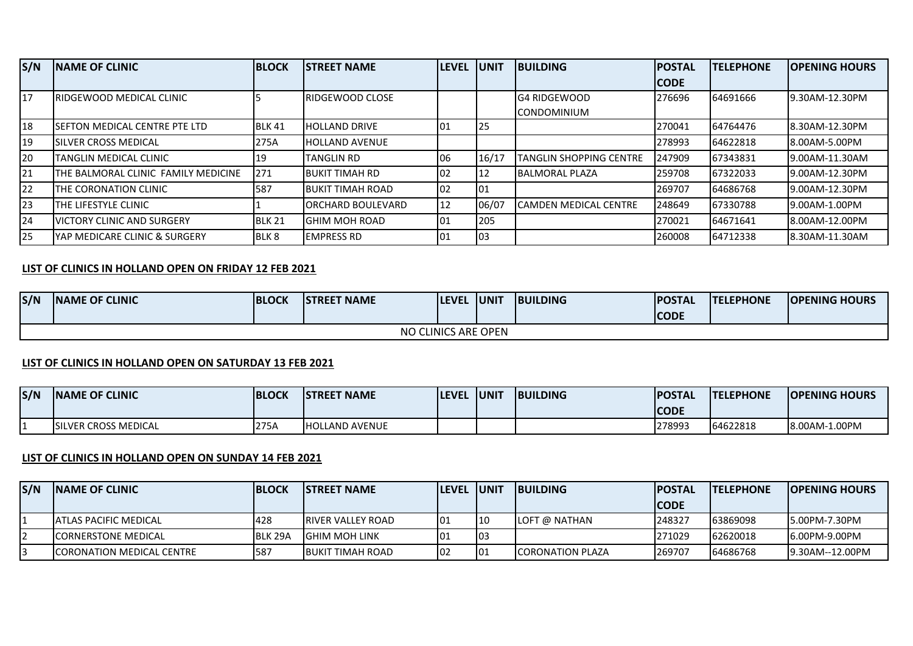| S/N       | <b>NAME OF CLINIC</b>                     | <b>BLOCK</b>  | <b>STREET NAME</b>      | <b>LEVEL</b> | <b>IUNIT</b> | <b>IBUILDING</b>               | <b>IPOSTAL</b> | <b>TELEPHONE</b> | <b>OPENING HOURS</b> |
|-----------|-------------------------------------------|---------------|-------------------------|--------------|--------------|--------------------------------|----------------|------------------|----------------------|
|           |                                           |               |                         |              |              |                                | <b>CODE</b>    |                  |                      |
| 17        | <b>IRIDGEWOOD MEDICAL CLINIC</b>          |               | <b>IRIDGEWOOD CLOSE</b> |              |              | G4 RIDGEWOOD                   | 276696         | 64691666         | 19.30AM-12.30PM      |
|           |                                           |               |                         |              |              | <b>CONDOMINIUM</b>             |                |                  |                      |
| 18        | <b>ISEFTON MEDICAL CENTRE PTE LTD</b>     | BLK 41        | <b>HOLLAND DRIVE</b>    | 101          | 125          |                                | 270041         | 64764476         | 18.30AM-12.30PM      |
| 19        | <b>ISILVER CROSS MEDICAL</b>              | 275A          | <b>HOLLAND AVENUE</b>   |              |              |                                | 278993         | 64622818         | <b>8.00AM-5.00PM</b> |
| 20        | <b>TANGLIN MEDICAL CLINIC</b>             | l 19          | <b>TANGLIN RD</b>       | 106          | 16/17        | <b>TANGLIN SHOPPING CENTRE</b> | 247909         | 67343831         | 19.00AM-11.30AM      |
| 21        | THE BALMORAL CLINIC FAMILY MEDICINE       | <b>271</b>    | <b>BUKIT TIMAH RD</b>   | 02           | 12           | <b>BALMORAL PLAZA</b>          | 259708         | 67322033         | 19.00AM-12.30PM      |
| 22        | THE CORONATION CLINIC                     | 587           | <b>BUKIT TIMAH ROAD</b> | 102          | 101          |                                | 269707         | 64686768         | 19.00AM-12.30PM      |
| <b>23</b> | THE LIFESTYLE CLINIC                      |               | ORCHARD BOULEVARD       | <b>12</b>    | 06/07        | <b>CAMDEN MEDICAL CENTRE</b>   | 248649         | 67330788         | 19.00AM-1.00PM       |
| 24        | <b>IVICTORY CLINIC AND SURGERY</b>        | <b>BLK 21</b> | IGHIM MOH ROAD          | 01           | 205          |                                | 270021         | 64671641         | 18.00AM-12.00PM      |
| 25        | <b>IYAP MEDICARE CLINIC &amp; SURGERY</b> | BLK 8         | <b>EMPRESS RD</b>       | 01           | 103          |                                | 260008         | 64712338         | 18.30AM-11.30AM      |

## **LIST OF CLINICS IN HOLLAND OPEN ON FRIDAY 12 FEB 2021**

| S/N                 | <b>INAME OF CLINIC</b> | <b>BLOCK</b> | <b>ISTREET NAME</b> | <b>ILEVEL</b> | <b>IUNIT</b> | <b>BUILDING</b> | <b>POSTAL</b> | <b>ITELEPHONE</b> | <b>OPENING HOURS</b> |
|---------------------|------------------------|--------------|---------------------|---------------|--------------|-----------------|---------------|-------------------|----------------------|
|                     |                        |              |                     |               |              |                 | <b>CODE</b>   |                   |                      |
| NO CLINICS ARE OPEN |                        |              |                     |               |              |                 |               |                   |                      |

## **LIST OF CLINICS IN HOLLAND OPEN ON SATURDAY 13 FEB 2021**

| S/N | <b>NAME OF CLINIC</b>        | <b>BLOCK</b> | ISTREET NAME       | <b>LEVEL</b> | <b>UNIT</b> | <b>BUILDING</b> | <b>IPOSTAL</b> | <b>ITELEPHONE</b> | <b>IOPENING HOURS</b> |
|-----|------------------------------|--------------|--------------------|--------------|-------------|-----------------|----------------|-------------------|-----------------------|
|     |                              |              |                    |              |             |                 | <b>CODE</b>    |                   |                       |
|     | <b>ISILVER CROSS MEDICAL</b> | 275A         | <b>LAND AVENUE</b> |              |             |                 | 278993         | 64622818          | <b>8.00AM-1.00PM</b>  |

## **LIST OF CLINICS IN HOLLAND OPEN ON SUNDAY 14 FEB 2021**

| S/N | <b>INAME OF CLINIC</b>            | <b>IBLOCK</b>  | <b>ISTREET NAME</b>       | <b>ILEVEL IUNIT</b> |     | <b>IBUILDING</b>         | <b>IPOSTAL</b> | <b>ITELEPHONE</b> | <b>IOPENING HOURS</b>  |
|-----|-----------------------------------|----------------|---------------------------|---------------------|-----|--------------------------|----------------|-------------------|------------------------|
|     |                                   |                |                           |                     |     |                          | ICODE          |                   |                        |
|     | IATLAS PACIFIC MEDICAL            | 428            | <b>IRIVER VALLEY ROAD</b> | 01                  | 110 | LOFT @ NATHAN            | 248327         | 63869098          | <b>I</b> 5.00PM-7.30PM |
|     | <b>ICORNERSTONE MEDICAL</b>       | <b>BLK 29A</b> | <b>GHIM MOH LINK</b>      | 101                 | 103 |                          | 271029         | 62620018          | <b>16.00PM-9.00PM</b>  |
|     | <b>ICORONATION MEDICAL CENTRE</b> | 1587           | <b>IBUKIT TIMAH ROAD</b>  | 02                  | 01  | <b>ICORONATION PLAZA</b> | 269707         | 64686768          | <b>9.30AM--12.00PM</b> |